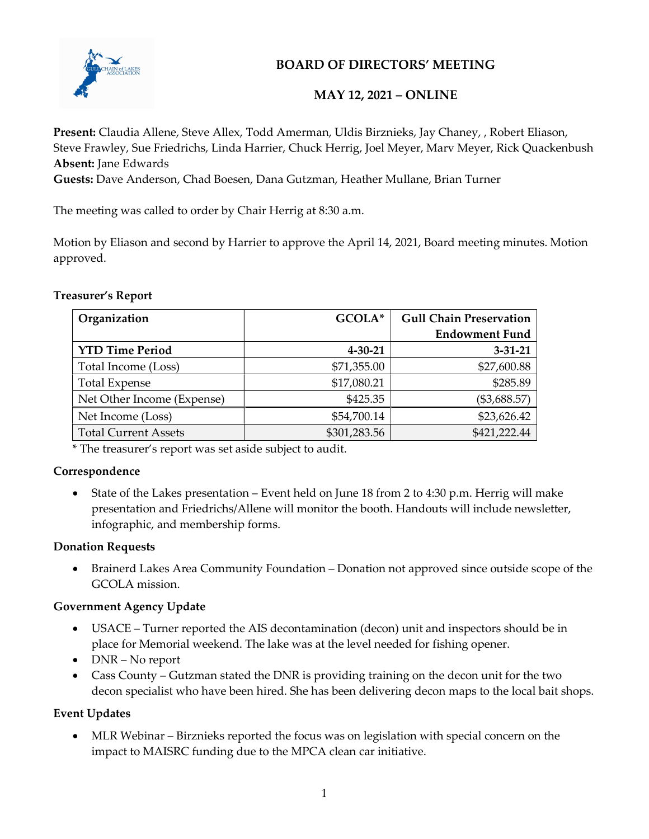

## BOARD OF DIRECTORS' MEETING

## MAY 12, 2021 – ONLINE

Present: Claudia Allene, Steve Allex, Todd Amerman, Uldis Birznieks, Jay Chaney, , Robert Eliason, Steve Frawley, Sue Friedrichs, Linda Harrier, Chuck Herrig, Joel Meyer, Marv Meyer, Rick Quackenbush Absent: Jane Edwards

Guests: Dave Anderson, Chad Boesen, Dana Gutzman, Heather Mullane, Brian Turner

The meeting was called to order by Chair Herrig at 8:30 a.m.

Motion by Eliason and second by Harrier to approve the April 14, 2021, Board meeting minutes. Motion approved.

### Treasurer's Report

| Organization                | GCOLA*        | <b>Gull Chain Preservation</b> |
|-----------------------------|---------------|--------------------------------|
|                             |               | <b>Endowment Fund</b>          |
| <b>YTD Time Period</b>      | $4 - 30 - 21$ | $3 - 31 - 21$                  |
| Total Income (Loss)         | \$71,355.00   | \$27,600.88                    |
| <b>Total Expense</b>        | \$17,080.21   | \$285.89                       |
| Net Other Income (Expense)  | \$425.35      | $(\$3,688.57)$                 |
| Net Income (Loss)           | \$54,700.14   | \$23,626.42                    |
| <b>Total Current Assets</b> | \$301,283.56  | \$421,222.44                   |

\* The treasurer's report was set aside subject to audit.

### Correspondence

 State of the Lakes presentation – Event held on June 18 from 2 to 4:30 p.m. Herrig will make presentation and Friedrichs/Allene will monitor the booth. Handouts will include newsletter, infographic, and membership forms.

### Donation Requests

 Brainerd Lakes Area Community Foundation – Donation not approved since outside scope of the GCOLA mission.

### Government Agency Update

- USACE Turner reported the AIS decontamination (decon) unit and inspectors should be in place for Memorial weekend. The lake was at the level needed for fishing opener.
- DNR No report
- Cass County Gutzman stated the DNR is providing training on the decon unit for the two decon specialist who have been hired. She has been delivering decon maps to the local bait shops.

### Event Updates

 MLR Webinar – Birznieks reported the focus was on legislation with special concern on the impact to MAISRC funding due to the MPCA clean car initiative.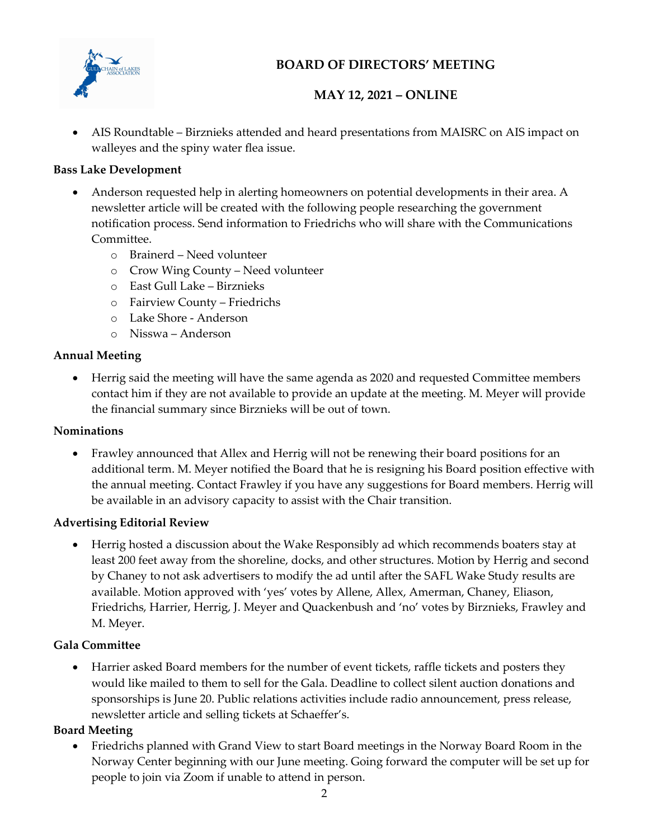

# BOARD OF DIRECTORS' MEETING

# MAY 12, 2021 – ONLINE

 AIS Roundtable – Birznieks attended and heard presentations from MAISRC on AIS impact on walleyes and the spiny water flea issue.

## Bass Lake Development

- Anderson requested help in alerting homeowners on potential developments in their area. A newsletter article will be created with the following people researching the government notification process. Send information to Friedrichs who will share with the Communications Committee.
	- o Brainerd Need volunteer
	- o Crow Wing County Need volunteer
	- o East Gull Lake Birznieks
	- o Fairview County Friedrichs
	- o Lake Shore Anderson
	- o Nisswa Anderson

## Annual Meeting

 Herrig said the meeting will have the same agenda as 2020 and requested Committee members contact him if they are not available to provide an update at the meeting. M. Meyer will provide the financial summary since Birznieks will be out of town.

## Nominations

 Frawley announced that Allex and Herrig will not be renewing their board positions for an additional term. M. Meyer notified the Board that he is resigning his Board position effective with the annual meeting. Contact Frawley if you have any suggestions for Board members. Herrig will be available in an advisory capacity to assist with the Chair transition.

## Advertising Editorial Review

 Herrig hosted a discussion about the Wake Responsibly ad which recommends boaters stay at least 200 feet away from the shoreline, docks, and other structures. Motion by Herrig and second by Chaney to not ask advertisers to modify the ad until after the SAFL Wake Study results are available. Motion approved with 'yes' votes by Allene, Allex, Amerman, Chaney, Eliason, Friedrichs, Harrier, Herrig, J. Meyer and Quackenbush and 'no' votes by Birznieks, Frawley and M. Meyer.

## Gala Committee

 Harrier asked Board members for the number of event tickets, raffle tickets and posters they would like mailed to them to sell for the Gala. Deadline to collect silent auction donations and sponsorships is June 20. Public relations activities include radio announcement, press release, newsletter article and selling tickets at Schaeffer's.

## Board Meeting

 Friedrichs planned with Grand View to start Board meetings in the Norway Board Room in the Norway Center beginning with our June meeting. Going forward the computer will be set up for people to join via Zoom if unable to attend in person.